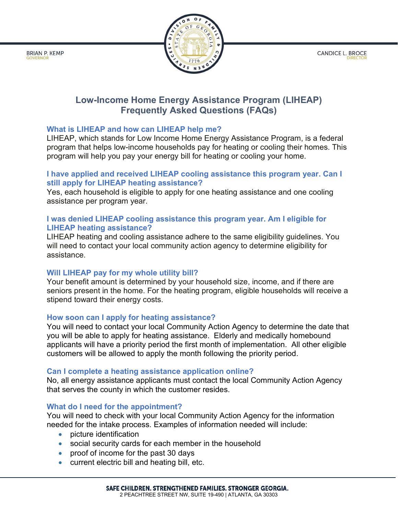**CANDICE L. BROCE** 



# Low-Income Home Energy Assistance Program (LIHEAP) Frequently Asked Questions (FAQs)

## What is LIHEAP and how can LIHEAP help me?

**BRIAN P. KEMP** 

LIHEAP, which stands for Low Income Home Energy Assistance Program, is a federal program that helps low-income households pay for heating or cooling their homes. This program will help you pay your energy bill for heating or cooling your home.

### I have applied and received LIHEAP cooling assistance this program year. Can I still apply for LIHEAP heating assistance?

Yes, each household is eligible to apply for one heating assistance and one cooling assistance per program year.

### I was denied LIHEAP cooling assistance this program year. Am I eligible for LIHEAP heating assistance?

LIHEAP heating and cooling assistance adhere to the same eligibility guidelines. You will need to contact your local community action agency to determine eligibility for assistance.

### Will LIHEAP pay for my whole utility bill?

Your benefit amount is determined by your household size, income, and if there are seniors present in the home. For the heating program, eligible households will receive a stipend toward their energy costs.

### How soon can I apply for heating assistance?

You will need to contact your local Community Action Agency to determine the date that you will be able to apply for heating assistance. Elderly and medically homebound applicants will have a priority period the first month of implementation. All other eligible customers will be allowed to apply the month following the priority period.

### Can I complete a heating assistance application online?

No, all energy assistance applicants must contact the local Community Action Agency that serves the county in which the customer resides.

### What do I need for the appointment?

You will need to check with your local Community Action Agency for the information needed for the intake process. Examples of information needed will include:

- picture identification
- social security cards for each member in the household
- proof of income for the past 30 days
- current electric bill and heating bill, etc.